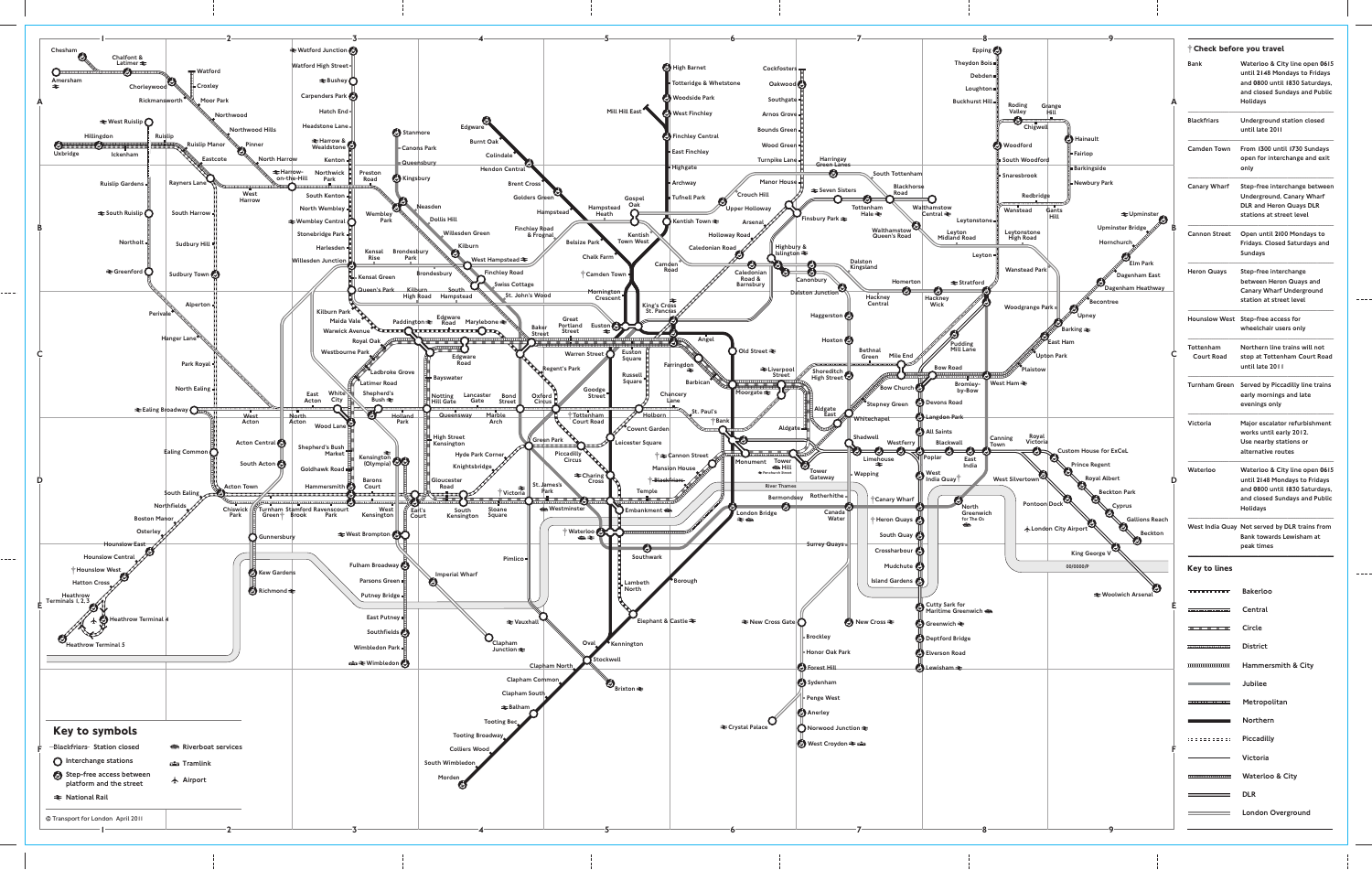

 $\qquad \qquad - - - -$ 

 $\frac{1}{2} \frac{1}{2} \frac{1}{2} \frac{1}{2} \frac{1}{2} \frac{1}{2} \frac{1}{2} \frac{1}{2} \frac{1}{2} \frac{1}{2} \frac{1}{2} \frac{1}{2} \frac{1}{2} \frac{1}{2} \frac{1}{2} \frac{1}{2} \frac{1}{2} \frac{1}{2} \frac{1}{2} \frac{1}{2} \frac{1}{2} \frac{1}{2} \frac{1}{2} \frac{1}{2} \frac{1}{2} \frac{1}{2} \frac{1}{2} \frac{1}{2} \frac{1}{2} \frac{1}{2} \frac{1}{2} \frac{$ 

Bank Waterloo & City line open **06**15 until **21**48 Mondays to Fridays and **08**00 until **18**30 Saturdays, and closed Sundays and Public Holidays

Blackfriars Underground station closed until late 2011

Camden Town From **13**00 until **17**30 Sundays open for interchange and exit only

Canary Wharf Step-free interchange between Underground, Canary Wharf DLR and Heron Quays DLR stations at street level

Cannon Street Open until **21**00 Mondays to Fridays. Closed Saturdays and Sundays

Heron Quays Step-free interchange between Heron Quays and Canary Wharf Underground station at street level

wheelchair users only

Tottenham Northern line trains will not Court Road stop at Tottenham Court Road until late 2011

Turnham Green Served by Piccadilly line trains early mornings and late evenings only

Victoria Major escalator refurbishment works until early 2012. Use nearby stations or alternative routes

Waterloo Waterloo & City line open **06**15 until **21**48 Mondays to Fridays and **08**00 until **18**30 Saturdays, and closed Sundays and Public Holidays

West India Quay Not served by DLR trains from Bank towards Lewisham at peak times

 $\frac{1}{2}$  and  $\frac{1}{2}$ 

**Central** 

Northern

Metropolitan

Victoria

District

DLR

**London Overground** 

Piccadilly

Waterloo & City

Jubilee

Hammersmith & City